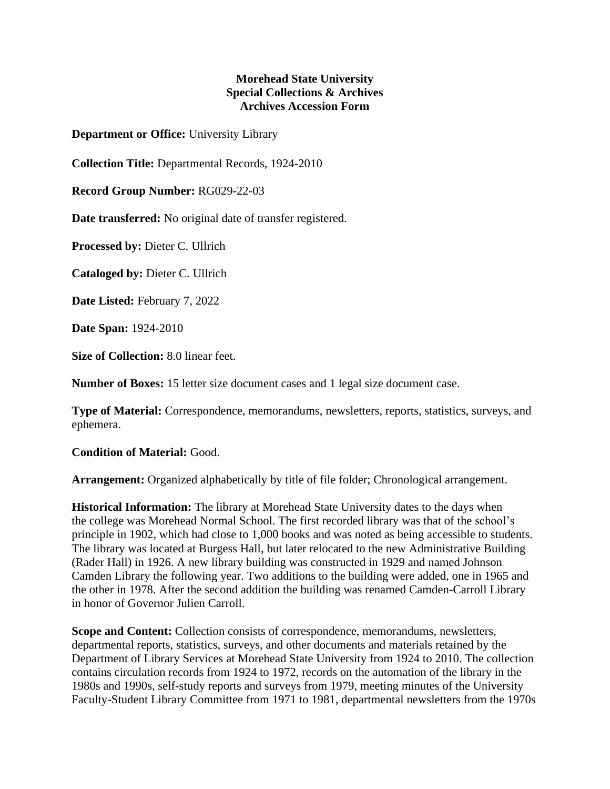## **Morehead State University Special Collections & Archives Archives Accession Form**

**Department or Office:** University Library

**Collection Title:** Departmental Records, 1924-2010

**Record Group Number:** RG029-22-03

**Date transferred:** No original date of transfer registered.

**Processed by:** Dieter C. Ullrich

**Cataloged by:** Dieter C. Ullrich

**Date Listed:** February 7, 2022

**Date Span:** 1924-2010

**Size of Collection:** 8.0 linear feet.

**Number of Boxes:** 15 letter size document cases and 1 legal size document case.

**Type of Material:** Correspondence, memorandums, newsletters, reports, statistics, surveys, and ephemera.

**Condition of Material:** Good.

**Arrangement:** Organized alphabetically by title of file folder; Chronological arrangement.

**Historical Information:** The library at Morehead State University dates to the days when the college was Morehead Normal School. The first recorded library was that of the school's principle in 1902, which had close to 1,000 books and was noted as being accessible to students. The library was located at Burgess Hall, but later relocated to the new Administrative Building (Rader Hall) in 1926. A new library building was constructed in 1929 and named Johnson Camden Library the following year. Two additions to the building were added, one in 1965 and the other in 1978. After the second addition the building was renamed Camden-Carroll Library in honor of Governor Julien Carroll.

**Scope and Content:** Collection consists of correspondence, memorandums, newsletters, departmental reports, statistics, surveys, and other documents and materials retained by the Department of Library Services at Morehead State University from 1924 to 2010. The collection contains circulation records from 1924 to 1972, records on the automation of the library in the 1980s and 1990s, self-study reports and surveys from 1979, meeting minutes of the University Faculty-Student Library Committee from 1971 to 1981, departmental newsletters from the 1970s